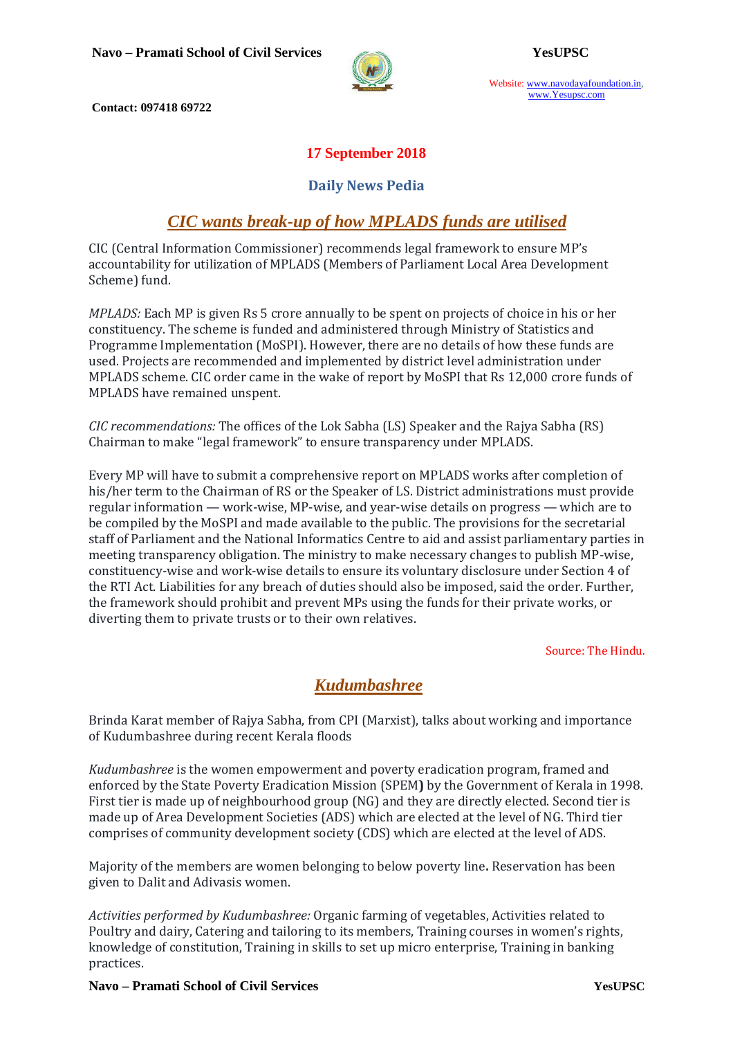

Website: www.navodayafoundation.in, www.Yesupsc.com

 **Contact: 097418 69722** 

### **17 September 2018**

#### **Daily News Pedia**

## *CIC wants break-up of how MPLADS funds are utilised*

CIC (Central Information Commissioner) recommends legal framework to ensure MP's accountability for utilization of MPLADS (Members of Parliament Local Area Development Scheme) fund.

*MPLADS:* Each MP is given Rs 5 crore annually to be spent on projects of choice in his or her constituency. The scheme is funded and administered through Ministry of Statistics and Programme Implementation (MoSPI). However, there are no details of how these funds are used. Projects are recommended and implemented by district level administration under MPLADS scheme. CIC order came in the wake of report by MoSPI that Rs 12,000 crore funds of MPLADS have remained unspent.

*CIC recommendations:* The offices of the Lok Sabha (LS) Speaker and the Rajya Sabha (RS) Chairman to make "legal framework" to ensure transparency under MPLADS.

Every MP will have to submit a comprehensive report on MPLADS works after completion of his/her term to the Chairman of RS or the Speaker of LS. District administrations must provide regular information — work-wise, MP-wise, and year-wise details on progress — which are to be compiled by the MoSPI and made available to the public. The provisions for the secretarial staff of Parliament and the National Informatics Centre to aid and assist parliamentary parties in meeting transparency obligation. The ministry to make necessary changes to publish MP-wise, constituency-wise and work-wise details to ensure its voluntary disclosure under Section 4 of the RTI Act. Liabilities for any breach of duties should also be imposed, said the order. Further, the framework should prohibit and prevent MPs using the funds for their private works, or diverting them to private trusts or to their own relatives.

Source: The Hindu.

# *Kudumbashree*

Brinda Karat member of Rajya Sabha, from CPI (Marxist), talks about working and importance of Kudumbashree during recent Kerala floods

*Kudumbashree* is the women empowerment and poverty eradication program, framed and enforced by the State Poverty Eradication Mission (SPEM**)** by the Government of Kerala in 1998. First tier is made up of neighbourhood group (NG) and they are directly elected. Second tier is made up of Area Development Societies (ADS) which are elected at the level of NG. Third tier comprises of community development society (CDS) which are elected at the level of ADS.

Majority of the members are women belonging to below poverty line**.** Reservation has been given to Dalit and Adivasis women.

*Activities performed by Kudumbashree:* Organic farming of vegetables, Activities related to Poultry and dairy, Catering and tailoring to its members, Training courses in women's rights, knowledge of constitution, Training in skills to set up micro enterprise, Training in banking practices.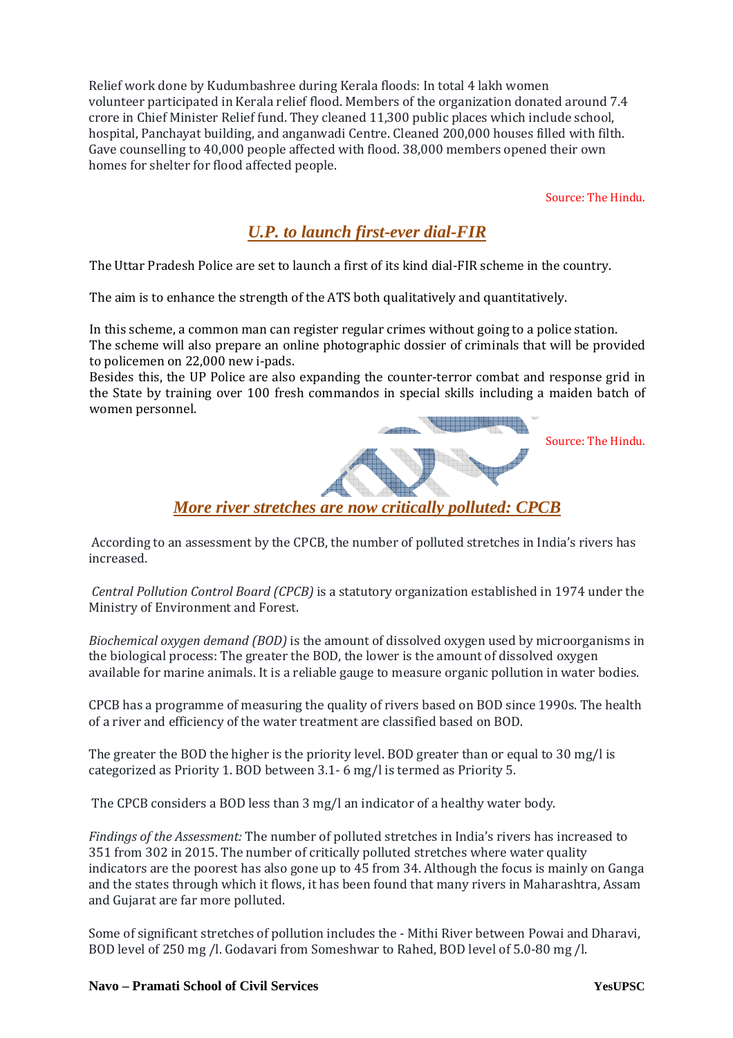Relief work done by Kudumbashree during Kerala floods: In total 4 lakh women volunteer participated in Kerala relief flood. Members of the organization donated around 7.4 crore in Chief Minister Relief fund. They cleaned 11,300 public places which include school, hospital, Panchayat building, and anganwadi Centre. Cleaned 200,000 houses filled with filth. Gave counselling to 40,000 people affected with flood. 38,000 members opened their own homes for shelter for flood affected people.

Source: The Hindu.

# *U.P. to launch first-ever dial-FIR*

The Uttar Pradesh Police are set to launch a first of its kind dial-FIR scheme in the country.

The aim is to enhance the strength of the ATS both qualitatively and quantitatively.

In this scheme, a common man can register regular crimes without going to a police station. The scheme will also prepare an online photographic dossier of criminals that will be provided to policemen on 22,000 new i-pads.

Besides this, the UP Police are also expanding the counter-terror combat and response grid in the State by training over 100 fresh commandos in special skills including a maiden batch of women personnel.

Source: The Hindu.



 According to an assessment by the CPCB, the number of polluted stretches in India's rivers has increased.

 *Central Pollution Control Board (CPCB)* is a statutory organization established in 1974 under the Ministry of Environment and Forest.

*Biochemical oxygen demand (BOD)* is the amount of dissolved oxygen used by microorganisms in the biological process: The greater the BOD, the lower is the amount of dissolved oxygen available for marine animals. It is a reliable gauge to measure organic pollution in water bodies.

CPCB has a programme of measuring the quality of rivers based on BOD since 1990s. The health of a river and efficiency of the water treatment are classified based on BOD.

The greater the BOD the higher is the priority level. BOD greater than or equal to 30 mg/l is categorized as Priority 1. BOD between 3.1- 6 mg/l is termed as Priority 5.

The CPCB considers a BOD less than 3 mg/l an indicator of a healthy water body.

*Findings of the Assessment:* The number of polluted stretches in India's rivers has increased to 351 from 302 in 2015. The number of critically polluted stretches where water quality indicators are the poorest has also gone up to 45 from 34. Although the focus is mainly on Ganga and the states through which it flows, it has been found that many rivers in Maharashtra, Assam and Gujarat are far more polluted.

Some of significant stretches of pollution includes the - Mithi River between Powai and Dharavi, BOD level of 250 mg /l. Godavari from Someshwar to Rahed, BOD level of 5.0-80 mg /l.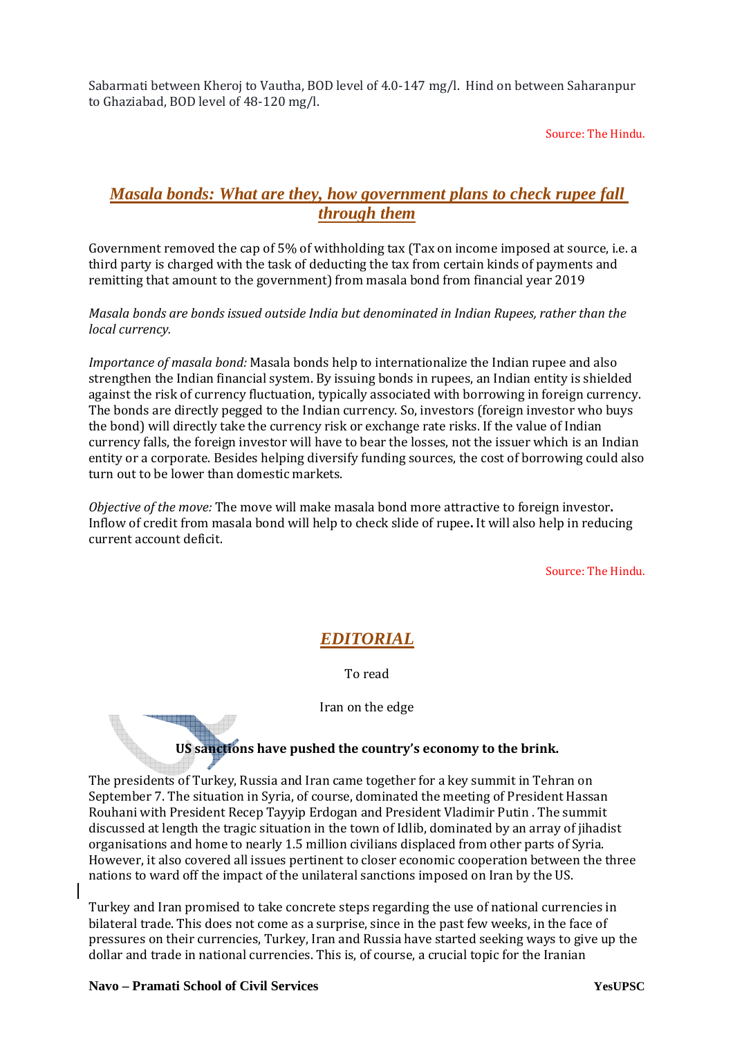Sabarmati between Kheroj to Vautha, BOD level of 4.0-147 mg/l. Hind on between Saharanpur to Ghaziabad, BOD level of 48-120 mg/l.

Source: The Hindu.

### *Masala bonds: What are they, how government plans to check rupee fall through them*

Government removed the cap of 5% of withholding tax (Tax on income imposed at source, i.e. a third party is charged with the task of deducting the tax from certain kinds of payments and remitting that amount to the government) from masala bond from financial year 2019

*Masala bonds are bonds issued outside India but denominated in Indian Rupees, rather than the local currency.* 

*Importance of masala bond:* Masala bonds help to internationalize the Indian rupee and also strengthen the Indian financial system. By issuing bonds in rupees, an Indian entity is shielded against the risk of currency fluctuation, typically associated with borrowing in foreign currency. The bonds are directly pegged to the Indian currency. So, investors (foreign investor who buys the bond) will directly take the currency risk or exchange rate risks. If the value of Indian currency falls, the foreign investor will have to bear the losses, not the issuer which is an Indian entity or a corporate. Besides helping diversify funding sources, the cost of borrowing could also turn out to be lower than domestic markets.

*Objective of the move:* The move will make masala bond more attractive to foreign investor**.** Inflow of credit from masala bond will help to check slide of rupee**.** It will also help in reducing current account deficit.

Source: The Hindu.

## *EDITORIAL*

To read

Iran on the edge

#### **US sanctions have pushed the country's economy to the brink.**

The presidents of Turkey, Russia and Iran came together for a key summit in Tehran on September 7. The situation in Syria, of course, dominated the meeting of President Hassan Rouhani with President Recep Tayyip Erdogan and President Vladimir Putin . The summit discussed at length the tragic situation in the town of Idlib, dominated by an array of jihadist organisations and home to nearly 1.5 million civilians displaced from other parts of Syria. However, it also covered all issues pertinent to closer economic cooperation between the three nations to ward off the impact of the unilateral sanctions imposed on Iran by the US.

Turkey and Iran promised to take concrete steps regarding the use of national currencies in bilateral trade. This does not come as a surprise, since in the past few weeks, in the face of pressures on their currencies, Turkey, Iran and Russia have started seeking ways to give up the dollar and trade in national currencies. This is, of course, a crucial topic for the Iranian